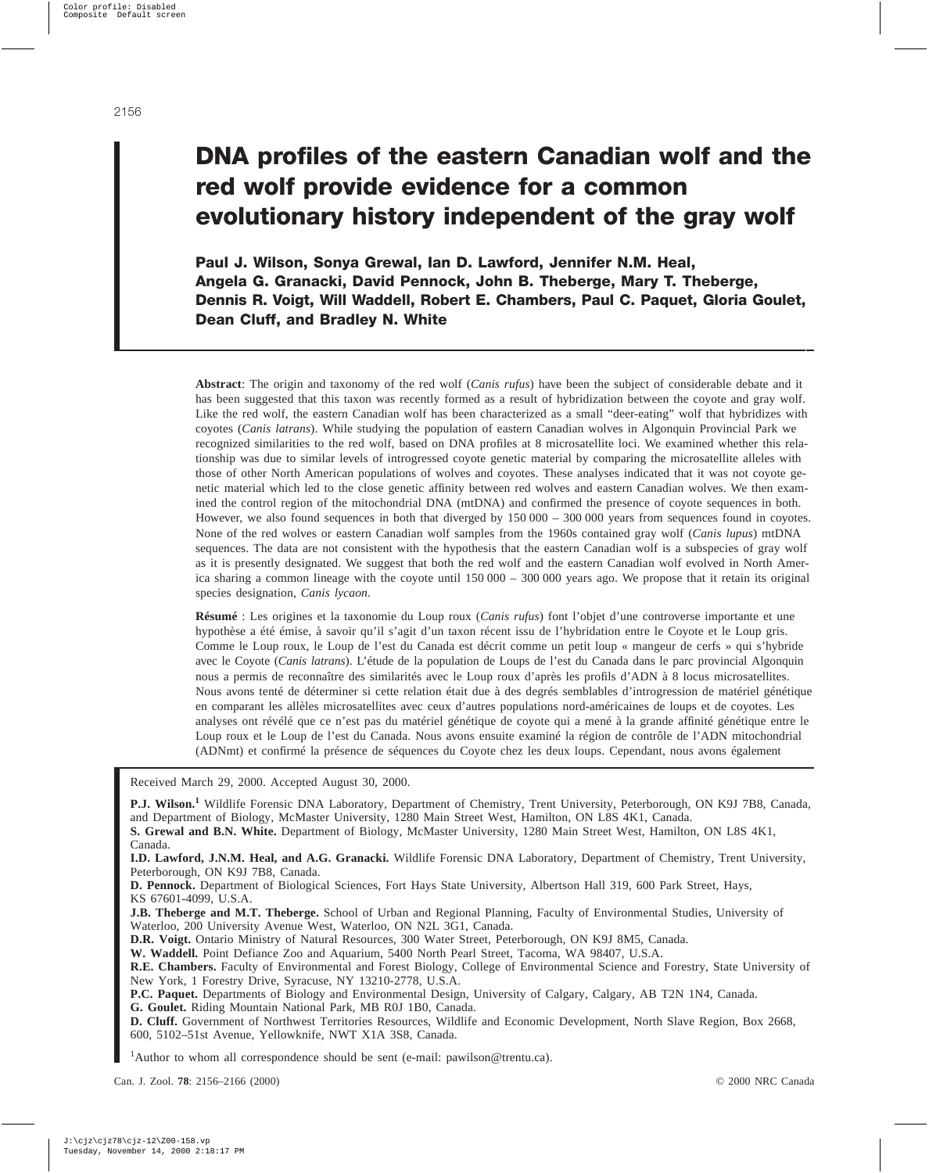# **DNA profiles of the eastern Canadian wolf and the red wolf provide evidence for a common evolutionary history independent of the gray wolf**

**Paul J. Wilson, Sonya Grewal, Ian D. Lawford, Jennifer N.M. Heal, Angela G. Granacki, David Pennock, John B. Theberge, Mary T. Theberge, Dennis R. Voigt, Will Waddell, Robert E. Chambers, Paul C. Paquet, Gloria Goulet, Dean Cluff, and Bradley N. White**

**Abstract**: The origin and taxonomy of the red wolf (*Canis rufus*) have been the subject of considerable debate and it has been suggested that this taxon was recently formed as a result of hybridization between the coyote and gray wolf. Like the red wolf, the eastern Canadian wolf has been characterized as a small "deer-eating" wolf that hybridizes with coyotes (*Canis latrans*). While studying the population of eastern Canadian wolves in Algonquin Provincial Park we recognized similarities to the red wolf, based on DNA profiles at 8 microsatellite loci. We examined whether this relationship was due to similar levels of introgressed coyote genetic material by comparing the microsatellite alleles with those of other North American populations of wolves and coyotes. These analyses indicated that it was not coyote genetic material which led to the close genetic affinity between red wolves and eastern Canadian wolves. We then examined the control region of the mitochondrial DNA (mtDNA) and confirmed the presence of coyote sequences in both. However, we also found sequences in both that diverged by  $150\,000 - 300\,000$  years from sequences found in coyotes. None of the red wolves or eastern Canadian wolf samples from the 1960s contained gray wolf (*Canis lupus*) mtDNA sequences. The data are not consistent with the hypothesis that the eastern Canadian wolf is a subspecies of gray wolf as it is presently designated. We suggest that both the red wolf and the eastern Canadian wolf evolved in North America sharing a common lineage with the coyote until 150 000 – 300 000 years ago. We propose that it retain its original species designation, *Canis lycaon*.

**Résumé** : Les origines et la taxonomie du Loup roux (*Canis rufus*) font l'objet d'une controverse importante et une hypothèse a été émise, à savoir qu'il s'agit d'un taxon récent issu de l'hybridation entre le Coyote et le Loup gris. Comme le Loup roux, le Loup de l'est du Canada est décrit comme un petit loup « mangeur de cerfs » qui s'hybride avec le Coyote (*Canis latrans*). L'étude de la population de Loups de l'est du Canada dans le parc provincial Algonquin nous a permis de reconnaître des similarités avec le Loup roux d'après les profils d'ADNà8locus microsatellites. Nous avons tenté de déterminer si cette relation était due à des degrés semblables d'introgression de matériel génétique en comparant les allèles microsatellites avec ceux d'autres populations nord-américaines de loups et de coyotes. Les analyses ont révélé que ce n'est pas du matériel génétique de coyote qui a mené à la grande affinité génétique entre le Loup roux et le Loup de l'est du Canada. Nous avons ensuite examiné la région de contrôle de l'ADN mitochondrial (ADNmt) et confirmé la présence de séquences du Coyote chez les deux loups. Cependant, nous avons également

Received March 29, 2000. Accepted August 30, 2000.

**P.J. Wilson.<sup>1</sup>** Wildlife Forensic DNA Laboratory, Department of Chemistry, Trent University, Peterborough, ON K9J 7B8, Canada, and Department of Biology, McMaster University, 1280 Main Street West, Hamilton, ON L8S 4K1, Canada.

**S. Grewal and B.N. White.** Department of Biology, McMaster University, 1280 Main Street West, Hamilton, ON L8S 4K1, Canada.

**I.D. Lawford, J.N.M. Heal, and A.G. Granacki.** Wildlife Forensic DNA Laboratory, Department of Chemistry, Trent University, Peterborough, ON K9J 7B8, Canada.

**D. Pennock.** Department of Biological Sciences, Fort Hays State University, Albertson Hall 319, 600 Park Street, Hays, KS 67601-4099, U.S.A.

**J.B. Theberge and M.T. Theberge.** School of Urban and Regional Planning, Faculty of Environmental Studies, University of Waterloo, 200 University Avenue West, Waterloo, ON N2L 3G1, Canada.

**D.R. Voigt.** Ontario Ministry of Natural Resources, 300 Water Street, Peterborough, ON K9J 8M5, Canada.

**W. Waddell.** Point Defiance Zoo and Aquarium, 5400 North Pearl Street, Tacoma, WA 98407, U.S.A.

**R.E. Chambers.** Faculty of Environmental and Forest Biology, College of Environmental Science and Forestry, State University of New York, 1 Forestry Drive, Syracuse, NY 13210-2778, U.S.A.

**P.C. Paquet.** Departments of Biology and Environmental Design, University of Calgary, Calgary, AB T2N 1N4, Canada.

**G. Goulet.** Riding Mountain National Park, MB R0J 1B0, Canada.

**D. Cluff.** Government of Northwest Territories Resources, Wildlife and Economic Development, North Slave Region, Box 2668, 600, 5102–51st Avenue, Yellowknife, NWT X1A 3S8, Canada.

<sup>1</sup>Author to whom all correspondence should be sent (e-mail: pawilson@trentu.ca).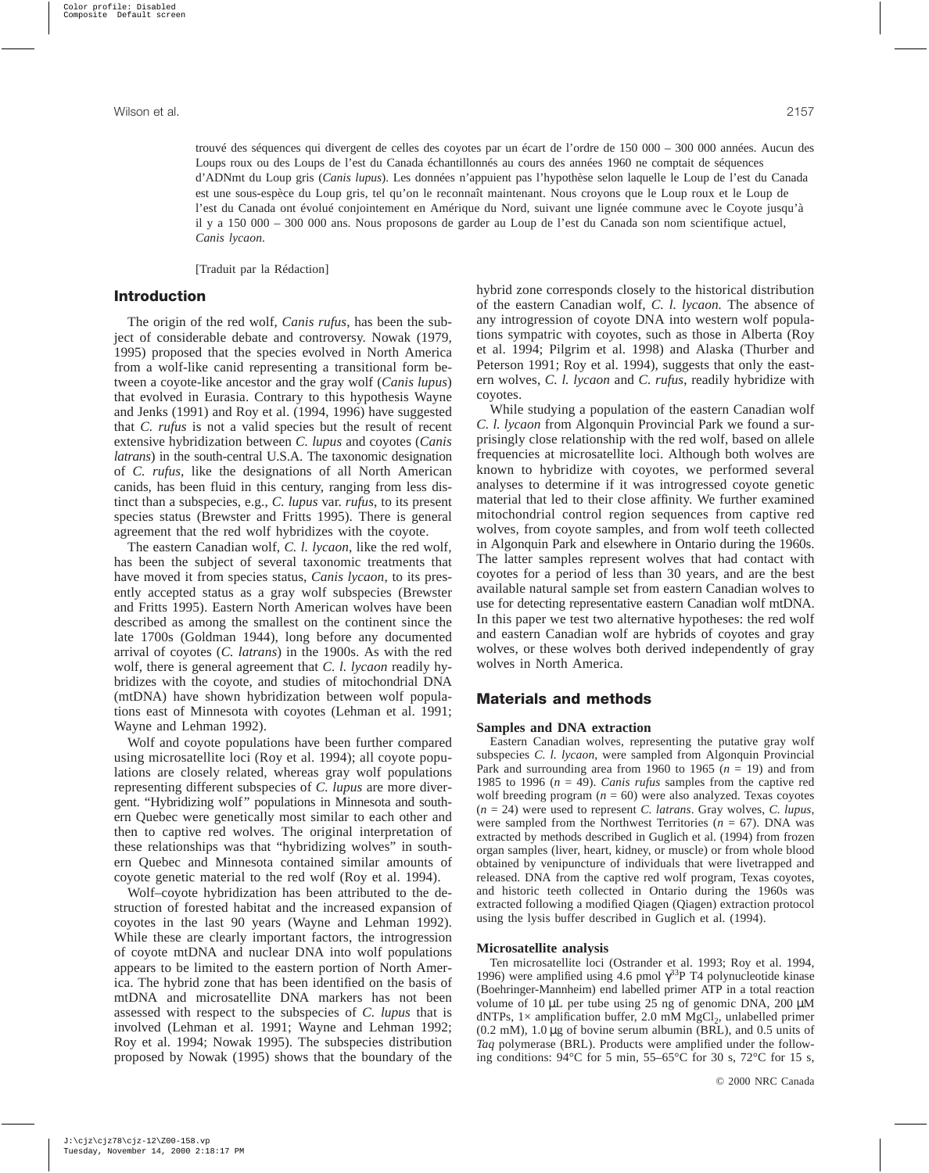trouvé des séquences qui divergent de celles des coyotes par un écart de l'ordre de 150 000 – 300 000 années. Aucun des Loups roux ou des Loups de l'est du Canada échantillonnés au cours des années 1960 ne comptait de séquences d'ADNmt du Loup gris (*Canis lupus*). Les données n'appuient pas l'hypothèse selon laquelle le Loup de l'est du Canada est une sous-espèce du Loup gris, tel qu'on le reconnaît maintenant. Nous croyons que le Loup roux et le Loup de l'est du Canada ont évolué conjointement en Amérique du Nord, suivant une lignée commune avec le Coyote jusqu'à il y a 150 000 – 300 000 ans. Nous proposons de garder au Loup de l'est du Canada son nom scientifique actuel, *Canis lycaon*.

[Traduit par la Rédaction]

## **Introduction**

The origin of the red wolf, *Canis rufus*, has been the subject of considerable debate and controversy. Nowak (1979, 1995) proposed that the species evolved in North America from a wolf-like canid representing a transitional form between a coyote-like ancestor and the gray wolf (*Canis lupus*) that evolved in Eurasia. Contrary to this hypothesis Wayne and Jenks (1991) and Roy et al. (1994, 1996) have suggested that *C. rufus* is not a valid species but the result of recent extensive hybridization between *C. lupus* and coyotes (*Canis latrans*) in the south-central U.S.A. The taxonomic designation of *C. rufus*, like the designations of all North American canids, has been fluid in this century, ranging from less distinct than a subspecies, e.g., *C. lupus* var. *rufus*, to its present species status (Brewster and Fritts 1995). There is general agreement that the red wolf hybridizes with the coyote.

The eastern Canadian wolf, *C. l. lycaon*, like the red wolf, has been the subject of several taxonomic treatments that have moved it from species status, *Canis lycaon*, to its presently accepted status as a gray wolf subspecies (Brewster and Fritts 1995). Eastern North American wolves have been described as among the smallest on the continent since the late 1700s (Goldman 1944), long before any documented arrival of coyotes (*C. latrans*) in the 1900s. As with the red wolf, there is general agreement that *C. l. lycaon* readily hybridizes with the coyote, and studies of mitochondrial DNA (mtDNA) have shown hybridization between wolf populations east of Minnesota with coyotes (Lehman et al. 1991; Wayne and Lehman 1992).

Wolf and coyote populations have been further compared using microsatellite loci (Roy et al. 1994); all coyote populations are closely related, whereas gray wolf populations representing different subspecies of *C. lupus* are more divergent. "Hybridizing wolf" populations in Minnesota and southern Quebec were genetically most similar to each other and then to captive red wolves. The original interpretation of these relationships was that "hybridizing wolves" in southern Quebec and Minnesota contained similar amounts of coyote genetic material to the red wolf (Roy et al. 1994).

Wolf–coyote hybridization has been attributed to the destruction of forested habitat and the increased expansion of coyotes in the last 90 years (Wayne and Lehman 1992). While these are clearly important factors, the introgression of coyote mtDNA and nuclear DNA into wolf populations appears to be limited to the eastern portion of North America. The hybrid zone that has been identified on the basis of mtDNA and microsatellite DNA markers has not been assessed with respect to the subspecies of *C. lupus* that is involved (Lehman et al. 1991; Wayne and Lehman 1992; Roy et al. 1994; Nowak 1995). The subspecies distribution proposed by Nowak (1995) shows that the boundary of the hybrid zone corresponds closely to the historical distribution of the eastern Canadian wolf, *C. l. lycaon.* The absence of any introgression of coyote DNA into western wolf populations sympatric with coyotes, such as those in Alberta (Roy et al. 1994; Pilgrim et al. 1998) and Alaska (Thurber and Peterson 1991; Roy et al. 1994), suggests that only the eastern wolves, *C. l. lycaon* and *C. rufus*, readily hybridize with coyotes.

While studying a population of the eastern Canadian wolf *C. l. lycaon* from Algonquin Provincial Park we found a surprisingly close relationship with the red wolf, based on allele frequencies at microsatellite loci. Although both wolves are known to hybridize with coyotes, we performed several analyses to determine if it was introgressed coyote genetic material that led to their close affinity. We further examined mitochondrial control region sequences from captive red wolves, from coyote samples, and from wolf teeth collected in Algonquin Park and elsewhere in Ontario during the 1960s. The latter samples represent wolves that had contact with coyotes for a period of less than 30 years, and are the best available natural sample set from eastern Canadian wolves to use for detecting representative eastern Canadian wolf mtDNA. In this paper we test two alternative hypotheses: the red wolf and eastern Canadian wolf are hybrids of coyotes and gray wolves, or these wolves both derived independently of gray wolves in North America.

## **Materials and methods**

#### **Samples and DNA extraction**

Eastern Canadian wolves, representing the putative gray wolf subspecies *C. l. lycaon*, were sampled from Algonquin Provincial Park and surrounding area from 1960 to 1965  $(n = 19)$  and from 1985 to 1996 ( $n = 49$ ). *Canis rufus* samples from the captive red wolf breeding program  $(n = 60)$  were also analyzed. Texas coyotes (*n* = 24) were used to represent *C. latrans*. Gray wolves, *C. lupus*, were sampled from the Northwest Territories ( $n = 67$ ). DNA was extracted by methods described in Guglich et al. (1994) from frozen organ samples (liver, heart, kidney, or muscle) or from whole blood obtained by venipuncture of individuals that were livetrapped and released. DNA from the captive red wolf program, Texas coyotes, and historic teeth collected in Ontario during the 1960s was extracted following a modified Qiagen (Qiagen) extraction protocol using the lysis buffer described in Guglich et al. (1994).

#### **Microsatellite analysis**

Ten microsatellite loci (Ostrander et al. 1993; Roy et al. 1994, 1996) were amplified using 4.6 pmol  $\gamma^{33}P$  T4 polynucleotide kinase (Boehringer-Mannheim) end labelled primer ATP in a total reaction volume of 10 µL per tube using 25 ng of genomic DNA, 200 µM dNTPs,  $1 \times$  amplification buffer, 2.0 mM MgCl<sub>2</sub>, unlabelled primer (0.2 mM), 1.0 µg of bovine serum albumin (BRL), and 0.5 units of *Taq* polymerase (BRL). Products were amplified under the following conditions: 94°C for 5 min, 55–65°C for 30 s, 72°C for 15 s,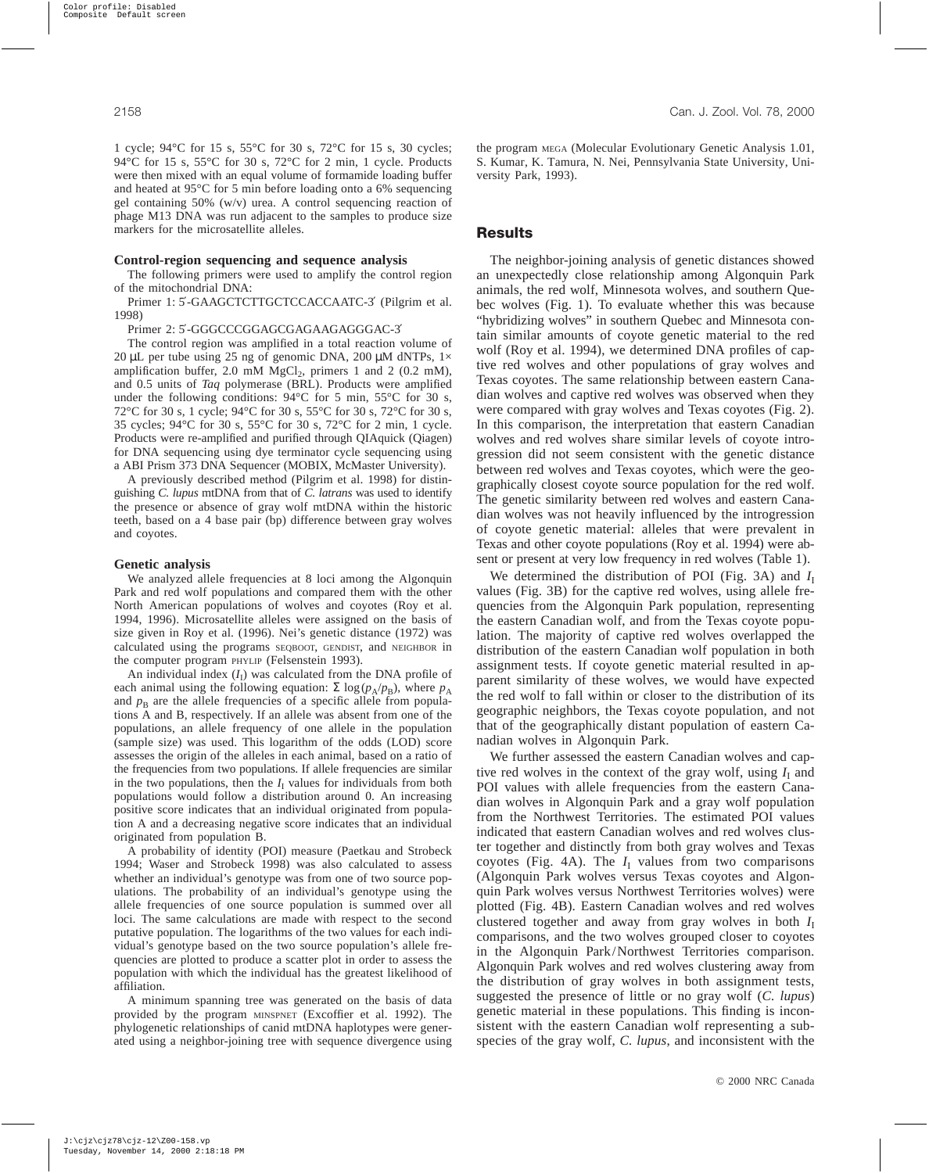1 cycle; 94°C for 15 s, 55°C for 30 s, 72°C for 15 s, 30 cycles; 94°C for 15 s, 55°C for 30 s, 72°C for 2 min, 1 cycle. Products were then mixed with an equal volume of formamide loading buffer and heated at 95°C for 5 min before loading onto a 6% sequencing gel containing 50% (w/v) urea. A control sequencing reaction of phage M13 DNA was run adjacent to the samples to produce size markers for the microsatellite alleles.

#### **Control-region sequencing and sequence analysis**

The following primers were used to amplify the control region of the mitochondrial DNA:

Primer 1: 5′-GAAGCTCTTGCTCCACCAATC-3′ (Pilgrim et al. 1998)

Primer 2: 5′-GGGCCCGGAGCGAGAAGAGGGAC-3′

The control region was amplified in a total reaction volume of 20 µL per tube using 25 ng of genomic DNA, 200 µM dNTPs,  $1 \times$ amplification buffer, 2.0 mM  $MgCl<sub>2</sub>$ , primers 1 and 2 (0.2 mM), and 0.5 units of *Taq* polymerase (BRL). Products were amplified under the following conditions: 94°C for 5 min, 55°C for 30 s, 72°C for 30 s, 1 cycle; 94°C for 30 s, 55°C for 30 s, 72°C for 30 s, 35 cycles; 94°C for 30 s, 55°C for 30 s, 72°C for 2 min, 1 cycle. Products were re-amplified and purified through QIAquick (Qiagen) for DNA sequencing using dye terminator cycle sequencing using a ABI Prism 373 DNA Sequencer (MOBIX, McMaster University).

A previously described method (Pilgrim et al. 1998) for distinguishing *C. lupus* mtDNA from that of *C. latrans* was used to identify the presence or absence of gray wolf mtDNA within the historic teeth, based on a 4 base pair (bp) difference between gray wolves and coyotes.

#### **Genetic analysis**

We analyzed allele frequencies at 8 loci among the Algonquin Park and red wolf populations and compared them with the other North American populations of wolves and coyotes (Roy et al. 1994, 1996). Microsatellite alleles were assigned on the basis of size given in Roy et al. (1996). Nei's genetic distance (1972) was calculated using the programs SEQBOOT, GENDIST, and NEIGHBOR in the computer program PHYLIP (Felsenstein 1993).

An individual index  $(I_I)$  was calculated from the DNA profile of each animal using the following equation:  $\Sigma \log(p_A/p_B)$ , where  $p_A$ and  $p_B$  are the allele frequencies of a specific allele from populations A and B, respectively. If an allele was absent from one of the populations, an allele frequency of one allele in the population (sample size) was used. This logarithm of the odds (LOD) score assesses the origin of the alleles in each animal, based on a ratio of the frequencies from two populations. If allele frequencies are similar in the two populations, then the  $I<sub>I</sub>$  values for individuals from both populations would follow a distribution around 0. An increasing positive score indicates that an individual originated from population A and a decreasing negative score indicates that an individual originated from population B.

A probability of identity (POI) measure (Paetkau and Strobeck 1994; Waser and Strobeck 1998) was also calculated to assess whether an individual's genotype was from one of two source populations. The probability of an individual's genotype using the allele frequencies of one source population is summed over all loci. The same calculations are made with respect to the second putative population. The logarithms of the two values for each individual's genotype based on the two source population's allele frequencies are plotted to produce a scatter plot in order to assess the population with which the individual has the greatest likelihood of affiliation.

A minimum spanning tree was generated on the basis of data provided by the program MINSPNET (Excoffier et al. 1992). The phylogenetic relationships of canid mtDNA haplotypes were generated using a neighbor-joining tree with sequence divergence using the program MEGA (Molecular Evolutionary Genetic Analysis 1.01, S. Kumar, K. Tamura, N. Nei, Pennsylvania State University, University Park, 1993).

### **Results**

The neighbor-joining analysis of genetic distances showed an unexpectedly close relationship among Algonquin Park animals, the red wolf, Minnesota wolves, and southern Quebec wolves (Fig. 1). To evaluate whether this was because "hybridizing wolves" in southern Quebec and Minnesota contain similar amounts of coyote genetic material to the red wolf (Roy et al. 1994), we determined DNA profiles of captive red wolves and other populations of gray wolves and Texas coyotes. The same relationship between eastern Canadian wolves and captive red wolves was observed when they were compared with gray wolves and Texas coyotes (Fig. 2). In this comparison, the interpretation that eastern Canadian wolves and red wolves share similar levels of coyote introgression did not seem consistent with the genetic distance between red wolves and Texas coyotes, which were the geographically closest coyote source population for the red wolf. The genetic similarity between red wolves and eastern Canadian wolves was not heavily influenced by the introgression of coyote genetic material: alleles that were prevalent in Texas and other coyote populations (Roy et al. 1994) were absent or present at very low frequency in red wolves (Table 1).

We determined the distribution of POI (Fig. 3A) and  $I<sub>I</sub>$ values (Fig. 3B) for the captive red wolves, using allele frequencies from the Algonquin Park population, representing the eastern Canadian wolf, and from the Texas coyote population. The majority of captive red wolves overlapped the distribution of the eastern Canadian wolf population in both assignment tests. If coyote genetic material resulted in apparent similarity of these wolves, we would have expected the red wolf to fall within or closer to the distribution of its geographic neighbors, the Texas coyote population, and not that of the geographically distant population of eastern Canadian wolves in Algonquin Park.

We further assessed the eastern Canadian wolves and captive red wolves in the context of the gray wolf, using  $I_I$  and POI values with allele frequencies from the eastern Canadian wolves in Algonquin Park and a gray wolf population from the Northwest Territories. The estimated POI values indicated that eastern Canadian wolves and red wolves cluster together and distinctly from both gray wolves and Texas coyotes (Fig. 4A). The  $I<sub>I</sub>$  values from two comparisons (Algonquin Park wolves versus Texas coyotes and Algonquin Park wolves versus Northwest Territories wolves) were plotted (Fig. 4B). Eastern Canadian wolves and red wolves clustered together and away from gray wolves in both  $I<sub>I</sub>$ comparisons, and the two wolves grouped closer to coyotes in the Algonquin Park/Northwest Territories comparison. Algonquin Park wolves and red wolves clustering away from the distribution of gray wolves in both assignment tests, suggested the presence of little or no gray wolf (*C. lupus*) genetic material in these populations. This finding is inconsistent with the eastern Canadian wolf representing a subspecies of the gray wolf, *C. lupus*, and inconsistent with the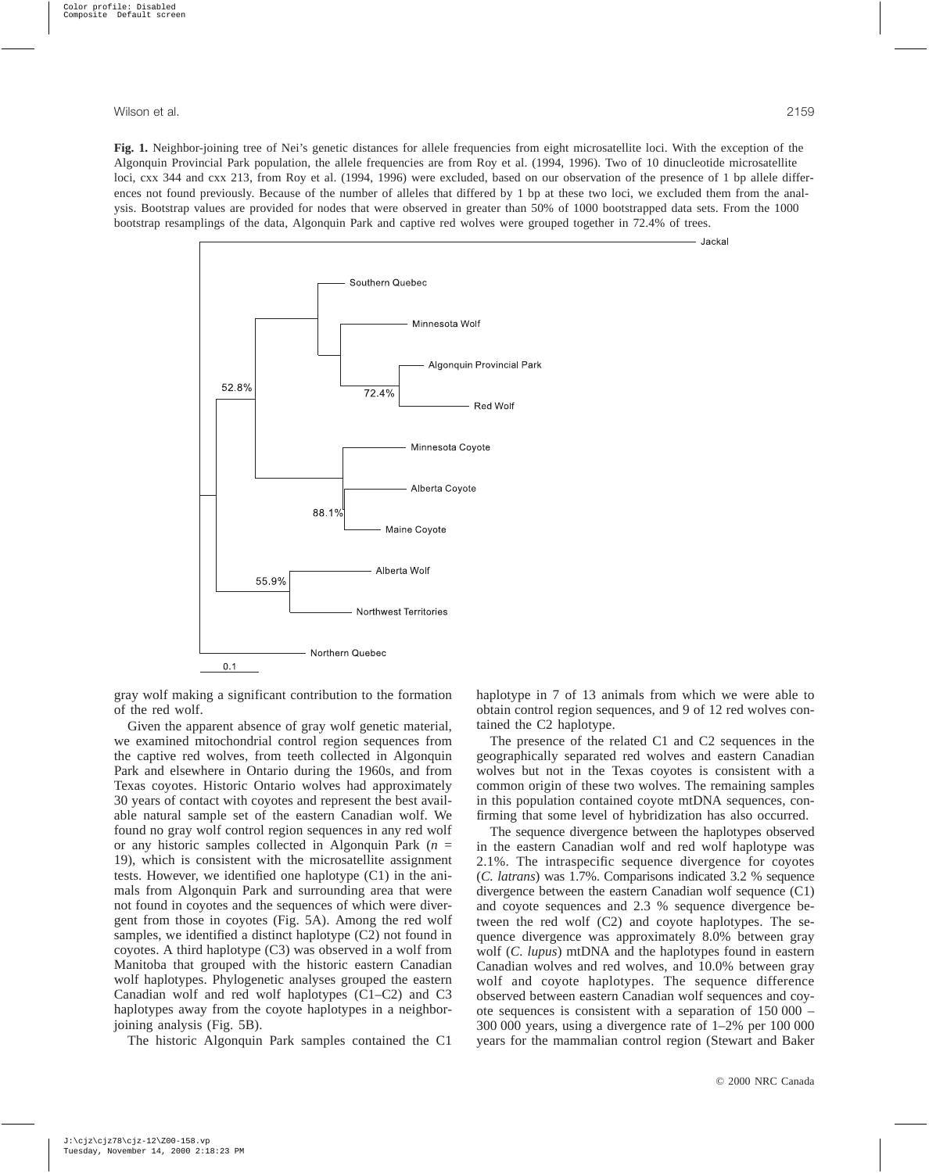- Jackal

**Fig. 1.** Neighbor-joining tree of Nei's genetic distances for allele frequencies from eight microsatellite loci. With the exception of the Algonquin Provincial Park population, the allele frequencies are from Roy et al. (1994, 1996). Two of 10 dinucleotide microsatellite loci, cxx 344 and cxx 213, from Roy et al. (1994, 1996) were excluded, based on our observation of the presence of 1 bp allele differences not found previously. Because of the number of alleles that differed by 1 bp at these two loci, we excluded them from the analysis. Bootstrap values are provided for nodes that were observed in greater than 50% of 1000 bootstrapped data sets. From the 1000 bootstrap resamplings of the data, Algonquin Park and captive red wolves were grouped together in 72.4% of trees.



gray wolf making a significant contribution to the formation of the red wolf.

Given the apparent absence of gray wolf genetic material, we examined mitochondrial control region sequences from the captive red wolves, from teeth collected in Algonquin Park and elsewhere in Ontario during the 1960s, and from Texas coyotes. Historic Ontario wolves had approximately 30 years of contact with coyotes and represent the best available natural sample set of the eastern Canadian wolf. We found no gray wolf control region sequences in any red wolf or any historic samples collected in Algonquin Park (*n* = 19), which is consistent with the microsatellite assignment tests. However, we identified one haplotype (C1) in the animals from Algonquin Park and surrounding area that were not found in coyotes and the sequences of which were divergent from those in coyotes (Fig. 5A). Among the red wolf samples, we identified a distinct haplotype (C2) not found in coyotes. A third haplotype (C3) was observed in a wolf from Manitoba that grouped with the historic eastern Canadian wolf haplotypes. Phylogenetic analyses grouped the eastern Canadian wolf and red wolf haplotypes (C1–C2) and C3 haplotypes away from the coyote haplotypes in a neighborjoining analysis (Fig. 5B).

The historic Algonquin Park samples contained the C1

haplotype in 7 of 13 animals from which we were able to obtain control region sequences, and 9 of 12 red wolves contained the C2 haplotype.

The presence of the related C1 and C2 sequences in the geographically separated red wolves and eastern Canadian wolves but not in the Texas coyotes is consistent with a common origin of these two wolves. The remaining samples in this population contained coyote mtDNA sequences, confirming that some level of hybridization has also occurred.

The sequence divergence between the haplotypes observed in the eastern Canadian wolf and red wolf haplotype was 2.1%. The intraspecific sequence divergence for coyotes (*C. latrans*) was 1.7%. Comparisons indicated 3.2 % sequence divergence between the eastern Canadian wolf sequence (C1) and coyote sequences and 2.3 % sequence divergence between the red wolf (C2) and coyote haplotypes. The sequence divergence was approximately 8.0% between gray wolf (*C. lupus*) mtDNA and the haplotypes found in eastern Canadian wolves and red wolves, and 10.0% between gray wolf and coyote haplotypes. The sequence difference observed between eastern Canadian wolf sequences and coyote sequences is consistent with a separation of 150 000 – 300 000 years, using a divergence rate of 1–2% per 100 000 years for the mammalian control region (Stewart and Baker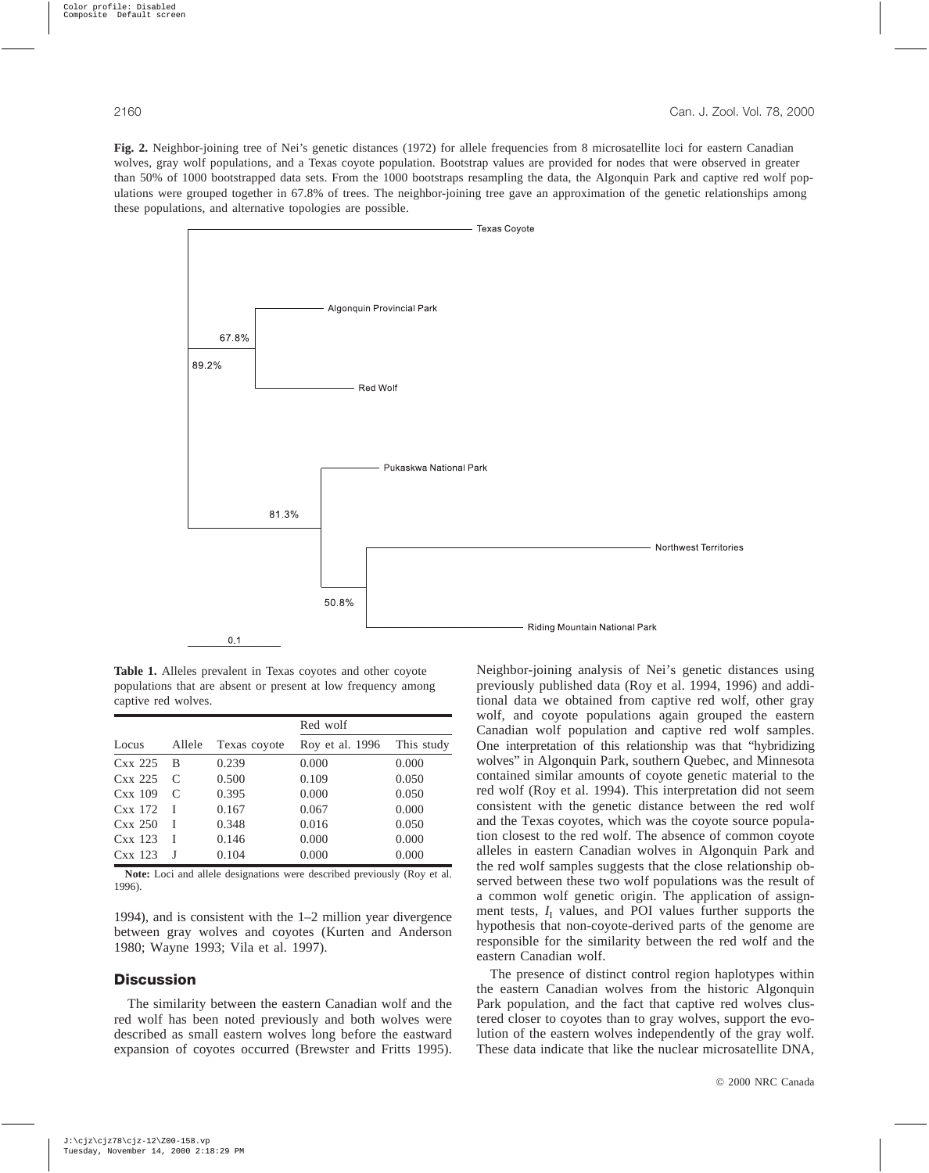**Fig. 2.** Neighbor-joining tree of Nei's genetic distances (1972) for allele frequencies from 8 microsatellite loci for eastern Canadian wolves, gray wolf populations, and a Texas coyote population. Bootstrap values are provided for nodes that were observed in greater than 50% of 1000 bootstrapped data sets. From the 1000 bootstraps resampling the data, the Algonquin Park and captive red wolf populations were grouped together in 67.8% of trees. The neighbor-joining tree gave an approximation of the genetic relationships among these populations, and alternative topologies are possible.



**Table 1.** Alleles prevalent in Texas coyotes and other coyote populations that are absent or present at low frequency among captive red wolves.

|           |        |              | Red wolf        |            |
|-----------|--------|--------------|-----------------|------------|
| Locus     | Allele | Texas coyote | Roy et al. 1996 | This study |
| $CxX$ 225 | B      | 0.239        | 0.000           | 0.000      |
| $CxX$ 225 | C      | 0.500        | 0.109           | 0.050      |
| Cxx 109   | C      | 0.395        | 0.000           | 0.050      |
| $CxX$ 172 |        | 0.167        | 0.067           | 0.000      |
| $CxX$ 250 |        | 0.348        | 0.016           | 0.050      |
| $CxX$ 123 |        | 0.146        | 0.000           | 0.000      |
| $CxX$ 123 |        | 0.104        | 0.000           | 0.000      |

**Note:** Loci and allele designations were described previously (Roy et al. 1996).

1994), and is consistent with the 1–2 million year divergence between gray wolves and coyotes (Kurten and Anderson 1980; Wayne 1993; Vila et al. 1997).

## **Discussion**

The similarity between the eastern Canadian wolf and the red wolf has been noted previously and both wolves were described as small eastern wolves long before the eastward expansion of coyotes occurred (Brewster and Fritts 1995).

Neighbor-joining analysis of Nei's genetic distances using previously published data (Roy et al. 1994, 1996) and additional data we obtained from captive red wolf, other gray wolf, and coyote populations again grouped the eastern Canadian wolf population and captive red wolf samples. One interpretation of this relationship was that "hybridizing wolves" in Algonquin Park, southern Quebec, and Minnesota contained similar amounts of coyote genetic material to the red wolf (Roy et al. 1994). This interpretation did not seem consistent with the genetic distance between the red wolf and the Texas coyotes, which was the coyote source population closest to the red wolf. The absence of common coyote alleles in eastern Canadian wolves in Algonquin Park and the red wolf samples suggests that the close relationship observed between these two wolf populations was the result of a common wolf genetic origin. The application of assignment tests,  $I_I$  values, and POI values further supports the hypothesis that non-coyote-derived parts of the genome are responsible for the similarity between the red wolf and the eastern Canadian wolf.

The presence of distinct control region haplotypes within the eastern Canadian wolves from the historic Algonquin Park population, and the fact that captive red wolves clustered closer to coyotes than to gray wolves, support the evolution of the eastern wolves independently of the gray wolf. These data indicate that like the nuclear microsatellite DNA,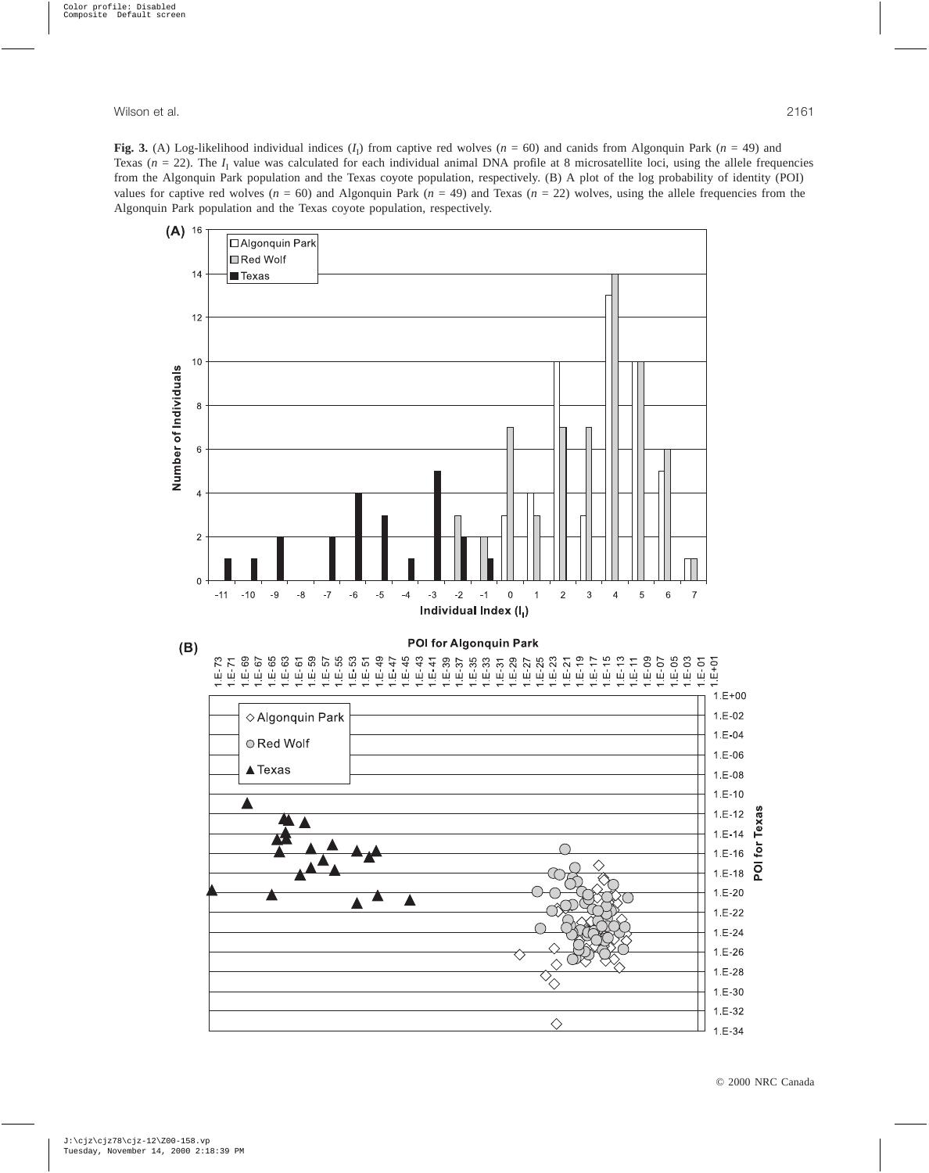**Fig. 3.** (A) Log-likelihood individual indices  $(I_1)$  from captive red wolves  $(n = 60)$  and canids from Algonquin Park  $(n = 49)$  and Texas ( $n = 22$ ). The  $I<sub>I</sub>$  value was calculated for each individual animal DNA profile at 8 microsatellite loci, using the allele frequencies from the Algonquin Park population and the Texas coyote population, respectively. (B) A plot of the log probability of identity (POI) values for captive red wolves ( $n = 60$ ) and Algonquin Park ( $n = 49$ ) and Texas ( $n = 22$ ) wolves, using the allele frequencies from the Algonquin Park population and the Texas coyote population, respectively.

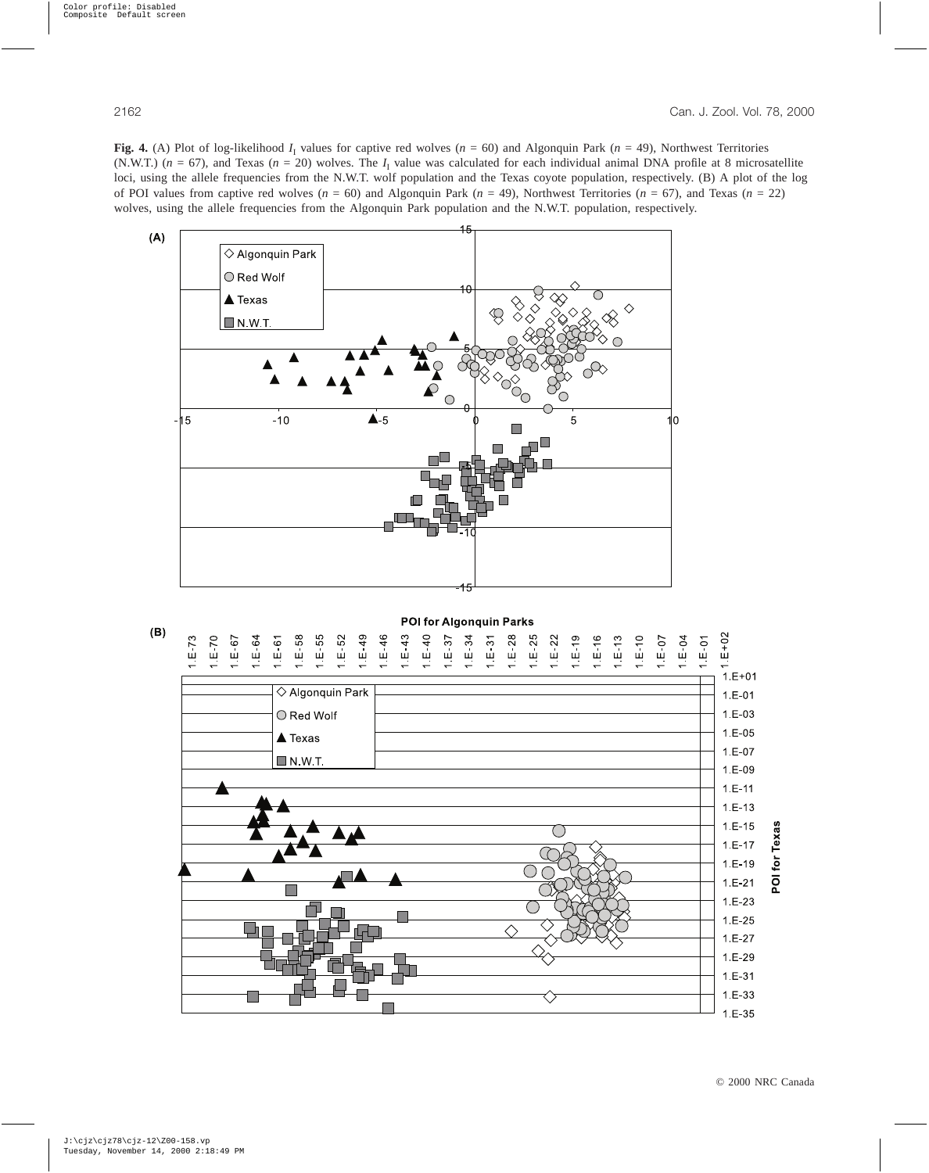**Fig. 4.** (A) Plot of log-likelihood  $I_1$  values for captive red wolves ( $n = 60$ ) and Algonquin Park ( $n = 49$ ), Northwest Territories (N.W.T.) ( $n = 67$ ), and Texas ( $n = 20$ ) wolves. The  $I<sub>I</sub>$  value was calculated for each individual animal DNA profile at 8 microsatellite loci, using the allele frequencies from the N.W.T. wolf population and the Texas coyote population, respectively. (B) A plot of the log of POI values from captive red wolves  $(n = 60)$  and Algonquin Park  $(n = 49)$ , Northwest Territories  $(n = 67)$ , and Texas  $(n = 22)$ wolves, using the allele frequencies from the Algonquin Park population and the N.W.T. population, respectively.



POI for Algonquin Parks



© 2000 NRC Canada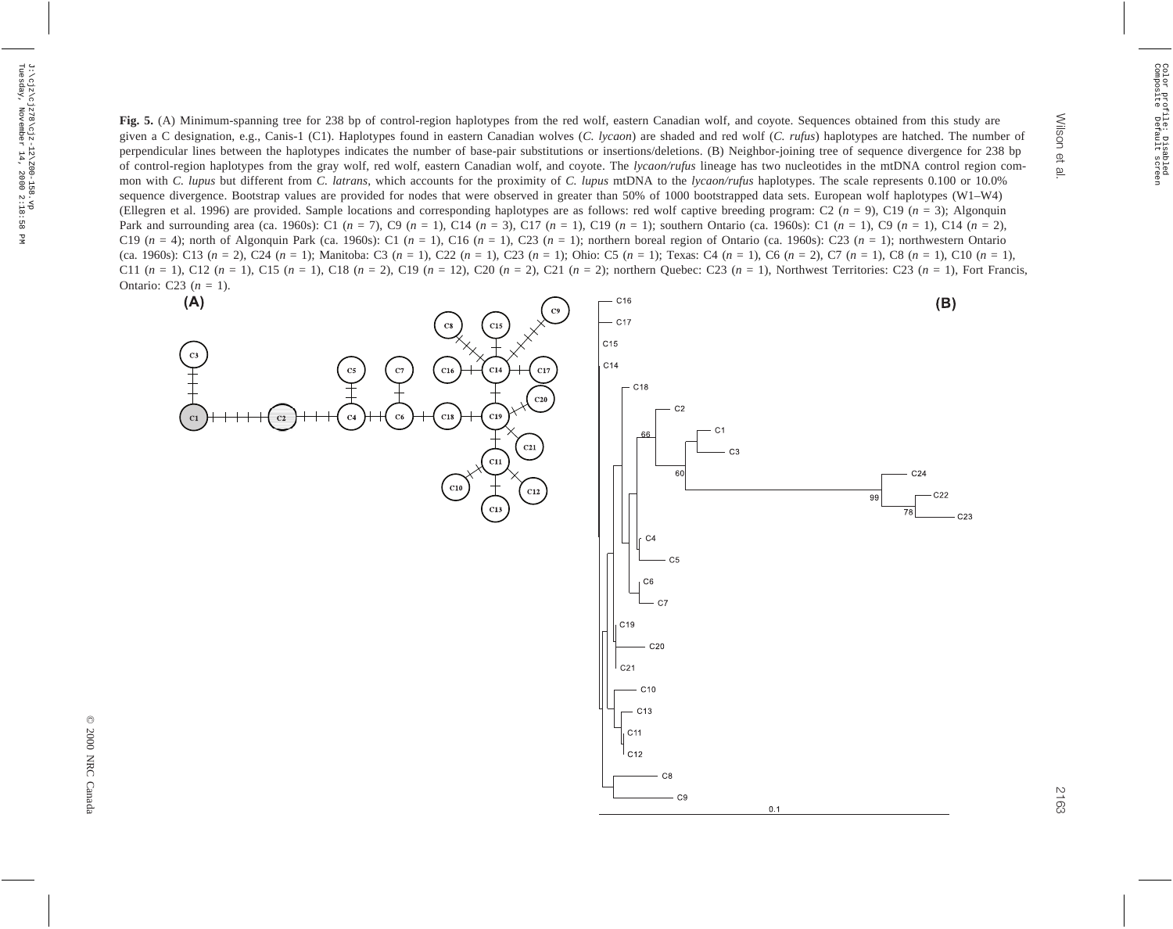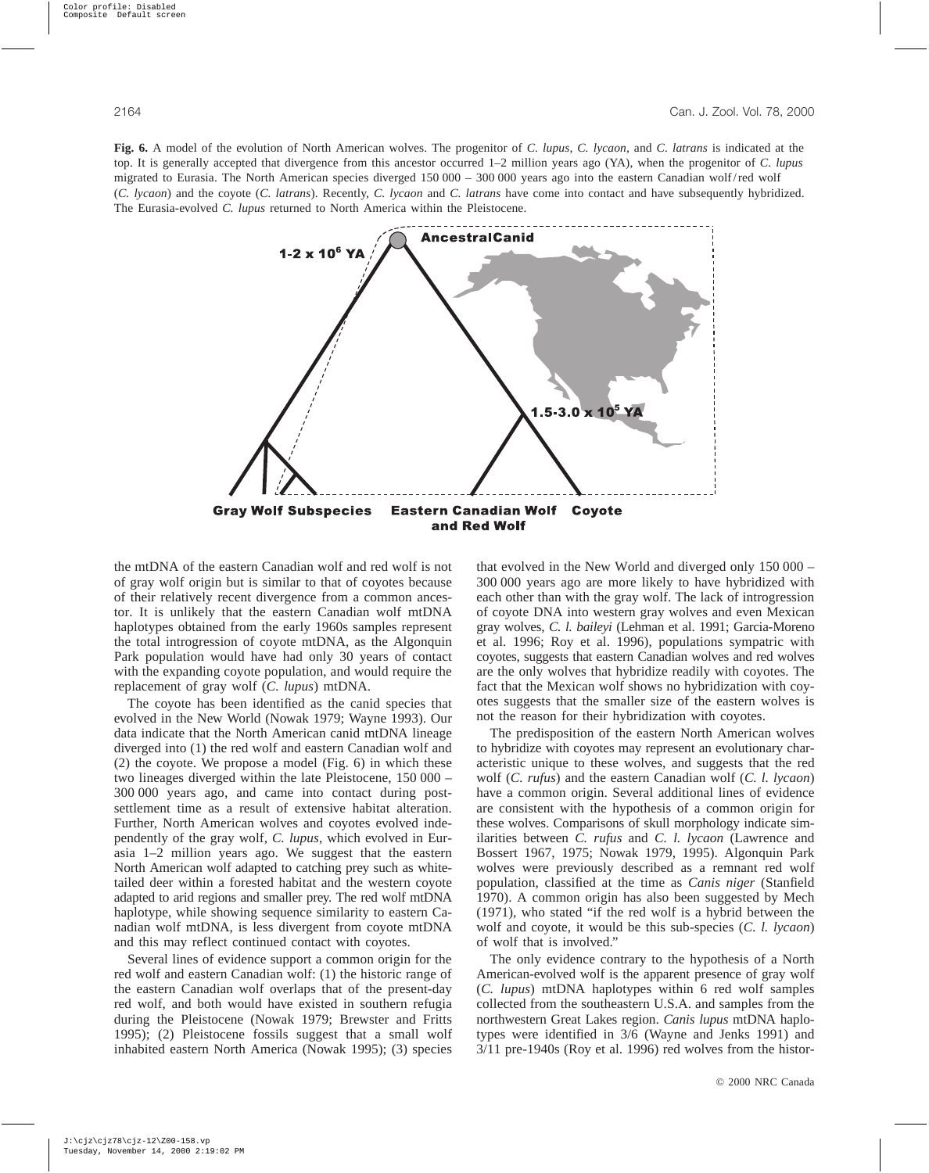**Fig. 6.** A model of the evolution of North American wolves. The progenitor of *C. lupus*, *C. lycaon*, and *C. latrans* is indicated at the top. It is generally accepted that divergence from this ancestor occurred 1–2 million years ago (YA), when the progenitor of *C. lupus* migrated to Eurasia. The North American species diverged 150 000 – 300 000 years ago into the eastern Canadian wolf/red wolf (*C. lycaon*) and the coyote (*C. latrans*). Recently, *C. lycaon* and *C. latrans* have come into contact and have subsequently hybridized. The Eurasia-evolved *C. lupus* returned to North America within the Pleistocene.



the mtDNA of the eastern Canadian wolf and red wolf is not of gray wolf origin but is similar to that of coyotes because of their relatively recent divergence from a common ancestor. It is unlikely that the eastern Canadian wolf mtDNA haplotypes obtained from the early 1960s samples represent the total introgression of coyote mtDNA, as the Algonquin Park population would have had only 30 years of contact with the expanding coyote population, and would require the replacement of gray wolf (*C. lupus*) mtDNA.

The coyote has been identified as the canid species that evolved in the New World (Nowak 1979; Wayne 1993). Our data indicate that the North American canid mtDNA lineage diverged into (1) the red wolf and eastern Canadian wolf and (2) the coyote. We propose a model (Fig. 6) in which these two lineages diverged within the late Pleistocene, 150 000 – 300 000 years ago, and came into contact during postsettlement time as a result of extensive habitat alteration. Further, North American wolves and coyotes evolved independently of the gray wolf, *C. lupus*, which evolved in Eurasia 1–2 million years ago. We suggest that the eastern North American wolf adapted to catching prey such as whitetailed deer within a forested habitat and the western coyote adapted to arid regions and smaller prey. The red wolf mtDNA haplotype, while showing sequence similarity to eastern Canadian wolf mtDNA, is less divergent from coyote mtDNA and this may reflect continued contact with coyotes.

Several lines of evidence support a common origin for the red wolf and eastern Canadian wolf: (1) the historic range of the eastern Canadian wolf overlaps that of the present-day red wolf, and both would have existed in southern refugia during the Pleistocene (Nowak 1979; Brewster and Fritts 1995); (2) Pleistocene fossils suggest that a small wolf inhabited eastern North America (Nowak 1995); (3) species that evolved in the New World and diverged only 150 000 – 300 000 years ago are more likely to have hybridized with each other than with the gray wolf. The lack of introgression of coyote DNA into western gray wolves and even Mexican gray wolves, *C. l. baileyi* (Lehman et al. 1991; Garcia-Moreno et al. 1996; Roy et al. 1996), populations sympatric with coyotes, suggests that eastern Canadian wolves and red wolves are the only wolves that hybridize readily with coyotes. The fact that the Mexican wolf shows no hybridization with coyotes suggests that the smaller size of the eastern wolves is not the reason for their hybridization with coyotes.

The predisposition of the eastern North American wolves to hybridize with coyotes may represent an evolutionary characteristic unique to these wolves, and suggests that the red wolf (*C. rufus*) and the eastern Canadian wolf (*C. l. lycaon*) have a common origin. Several additional lines of evidence are consistent with the hypothesis of a common origin for these wolves. Comparisons of skull morphology indicate similarities between *C. rufus* and *C. l. lycaon* (Lawrence and Bossert 1967, 1975; Nowak 1979, 1995). Algonquin Park wolves were previously described as a remnant red wolf population, classified at the time as *Canis niger* (Stanfield 1970). A common origin has also been suggested by Mech (1971), who stated "if the red wolf is a hybrid between the wolf and coyote, it would be this sub-species (*C. l. lycaon*) of wolf that is involved."

The only evidence contrary to the hypothesis of a North American-evolved wolf is the apparent presence of gray wolf (*C. lupus*) mtDNA haplotypes within 6 red wolf samples collected from the southeastern U.S.A. and samples from the northwestern Great Lakes region. *Canis lupus* mtDNA haplotypes were identified in 3/6 (Wayne and Jenks 1991) and 3/11 pre-1940s (Roy et al. 1996) red wolves from the histor-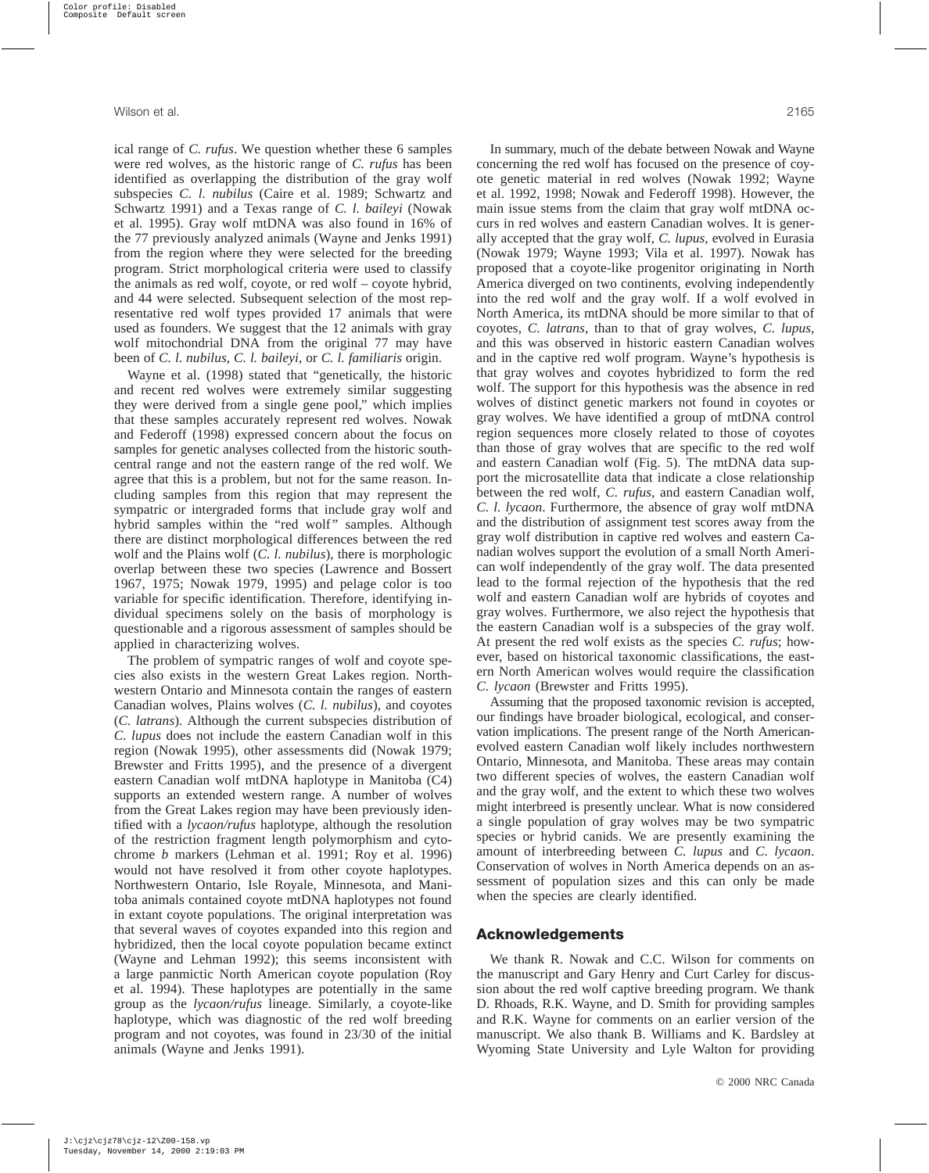ical range of *C. rufus*. We question whether these 6 samples were red wolves, as the historic range of *C. rufus* has been identified as overlapping the distribution of the gray wolf subspecies *C. l. nubilus* (Caire et al. 1989; Schwartz and Schwartz 1991) and a Texas range of *C. l. baileyi* (Nowak et al. 1995). Gray wolf mtDNA was also found in 16% of the 77 previously analyzed animals (Wayne and Jenks 1991) from the region where they were selected for the breeding program. Strict morphological criteria were used to classify the animals as red wolf, coyote, or red wolf – coyote hybrid, and 44 were selected. Subsequent selection of the most representative red wolf types provided 17 animals that were used as founders. We suggest that the 12 animals with gray wolf mitochondrial DNA from the original 77 may have been of *C. l. nubilus*, *C. l. baileyi*, or *C. l. familiaris* origin.

Wayne et al. (1998) stated that "genetically, the historic and recent red wolves were extremely similar suggesting they were derived from a single gene pool," which implies that these samples accurately represent red wolves. Nowak and Federoff (1998) expressed concern about the focus on samples for genetic analyses collected from the historic southcentral range and not the eastern range of the red wolf. We agree that this is a problem, but not for the same reason. Including samples from this region that may represent the sympatric or intergraded forms that include gray wolf and hybrid samples within the "red wolf" samples. Although there are distinct morphological differences between the red wolf and the Plains wolf (*C. l. nubilus*), there is morphologic overlap between these two species (Lawrence and Bossert 1967, 1975; Nowak 1979, 1995) and pelage color is too variable for specific identification. Therefore, identifying individual specimens solely on the basis of morphology is questionable and a rigorous assessment of samples should be applied in characterizing wolves.

The problem of sympatric ranges of wolf and coyote species also exists in the western Great Lakes region. Northwestern Ontario and Minnesota contain the ranges of eastern Canadian wolves, Plains wolves (*C. l. nubilus*), and coyotes (*C. latrans*). Although the current subspecies distribution of *C. lupus* does not include the eastern Canadian wolf in this region (Nowak 1995), other assessments did (Nowak 1979; Brewster and Fritts 1995), and the presence of a divergent eastern Canadian wolf mtDNA haplotype in Manitoba (C4) supports an extended western range. A number of wolves from the Great Lakes region may have been previously identified with a *lycaon/rufus* haplotype, although the resolution of the restriction fragment length polymorphism and cytochrome *b* markers (Lehman et al. 1991; Roy et al. 1996) would not have resolved it from other coyote haplotypes. Northwestern Ontario, Isle Royale, Minnesota, and Manitoba animals contained coyote mtDNA haplotypes not found in extant coyote populations. The original interpretation was that several waves of coyotes expanded into this region and hybridized, then the local coyote population became extinct (Wayne and Lehman 1992); this seems inconsistent with a large panmictic North American coyote population (Roy et al. 1994). These haplotypes are potentially in the same group as the *lycaon/rufus* lineage. Similarly, a coyote-like haplotype, which was diagnostic of the red wolf breeding program and not coyotes, was found in 23/30 of the initial animals (Wayne and Jenks 1991).

In summary, much of the debate between Nowak and Wayne concerning the red wolf has focused on the presence of coyote genetic material in red wolves (Nowak 1992; Wayne et al. 1992, 1998; Nowak and Federoff 1998). However, the main issue stems from the claim that gray wolf mtDNA occurs in red wolves and eastern Canadian wolves. It is generally accepted that the gray wolf, *C. lupus*, evolved in Eurasia (Nowak 1979; Wayne 1993; Vila et al. 1997). Nowak has proposed that a coyote-like progenitor originating in North America diverged on two continents, evolving independently into the red wolf and the gray wolf. If a wolf evolved in North America, its mtDNA should be more similar to that of coyotes, *C. latrans*, than to that of gray wolves, *C. lupus*, and this was observed in historic eastern Canadian wolves and in the captive red wolf program. Wayne's hypothesis is that gray wolves and coyotes hybridized to form the red wolf. The support for this hypothesis was the absence in red wolves of distinct genetic markers not found in coyotes or gray wolves. We have identified a group of mtDNA control region sequences more closely related to those of coyotes than those of gray wolves that are specific to the red wolf and eastern Canadian wolf (Fig. 5). The mtDNA data support the microsatellite data that indicate a close relationship between the red wolf, *C. rufus*, and eastern Canadian wolf, *C. l. lycaon*. Furthermore, the absence of gray wolf mtDNA and the distribution of assignment test scores away from the gray wolf distribution in captive red wolves and eastern Canadian wolves support the evolution of a small North American wolf independently of the gray wolf. The data presented lead to the formal rejection of the hypothesis that the red wolf and eastern Canadian wolf are hybrids of coyotes and gray wolves. Furthermore, we also reject the hypothesis that the eastern Canadian wolf is a subspecies of the gray wolf. At present the red wolf exists as the species *C. rufus*; however, based on historical taxonomic classifications, the eastern North American wolves would require the classification *C. lycaon* (Brewster and Fritts 1995).

Assuming that the proposed taxonomic revision is accepted, our findings have broader biological, ecological, and conservation implications. The present range of the North Americanevolved eastern Canadian wolf likely includes northwestern Ontario, Minnesota, and Manitoba. These areas may contain two different species of wolves, the eastern Canadian wolf and the gray wolf, and the extent to which these two wolves might interbreed is presently unclear. What is now considered a single population of gray wolves may be two sympatric species or hybrid canids. We are presently examining the amount of interbreeding between *C. lupus* and *C. lycaon*. Conservation of wolves in North America depends on an assessment of population sizes and this can only be made when the species are clearly identified.

## **Acknowledgements**

We thank R. Nowak and C.C. Wilson for comments on the manuscript and Gary Henry and Curt Carley for discussion about the red wolf captive breeding program. We thank D. Rhoads, R.K. Wayne, and D. Smith for providing samples and R.K. Wayne for comments on an earlier version of the manuscript. We also thank B. Williams and K. Bardsley at Wyoming State University and Lyle Walton for providing